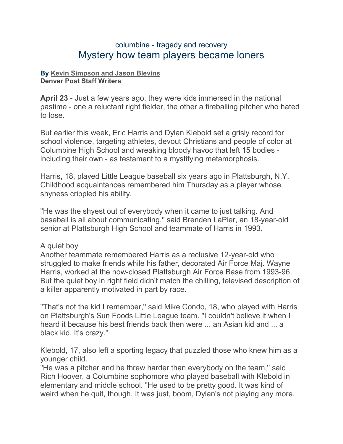## columbine - tragedy and recovery Mystery how team players became loners

## **By [Kevin Simpson and Jason Blevins](mailto:newsroom@denverpost.com) Denver Post Staff Writers**

**April 23** - Just a few years ago, they were kids immersed in the national pastime - one a reluctant right fielder, the other a fireballing pitcher who hated to lose.

But earlier this week, Eric Harris and Dylan Klebold set a grisly record for school violence, targeting athletes, devout Christians and people of color at Columbine High School and wreaking bloody havoc that left 15 bodies including their own - as testament to a mystifying metamorphosis.

Harris, 18, played Little League baseball six years ago in Plattsburgh, N.Y. Childhood acquaintances remembered him Thursday as a player whose shyness crippled his ability.

"He was the shyest out of everybody when it came to just talking. And baseball is all about communicating,'' said Brenden LaPier, an 18-year-old senior at Plattsburgh High School and teammate of Harris in 1993.

## A quiet boy

Another teammate remembered Harris as a reclusive 12-year-old who struggled to make friends while his father, decorated Air Force Maj. Wayne Harris, worked at the now-closed Plattsburgh Air Force Base from 1993-96. But the quiet boy in right field didn't match the chilling, televised description of a killer apparently motivated in part by race.

"That's not the kid I remember,'' said Mike Condo, 18, who played with Harris on Plattsburgh's Sun Foods Little League team. "I couldn't believe it when I heard it because his best friends back then were ... an Asian kid and ... a black kid. It's crazy.''

Klebold, 17, also left a sporting legacy that puzzled those who knew him as a younger child.

"He was a pitcher and he threw harder than everybody on the team,'' said Rich Hoover, a Columbine sophomore who played baseball with Klebold in elementary and middle school. "He used to be pretty good. It was kind of weird when he quit, though. It was just, boom, Dylan's not playing any more.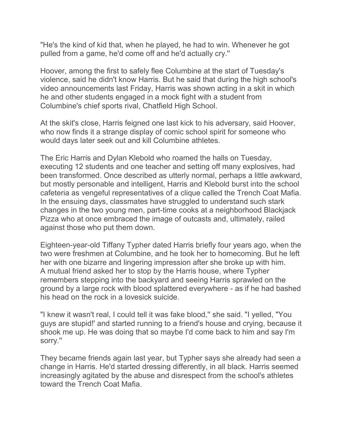"He's the kind of kid that, when he played, he had to win. Whenever he got pulled from a game, he'd come off and he'd actually cry.''

Hoover, among the first to safely flee Columbine at the start of Tuesday's violence, said he didn't know Harris. But he said that during the high school's video announcements last Friday, Harris was shown acting in a skit in which he and other students engaged in a mock fight with a student from Columbine's chief sports rival, Chatfield High School.

At the skit's close, Harris feigned one last kick to his adversary, said Hoover, who now finds it a strange display of comic school spirit for someone who would days later seek out and kill Columbine athletes.

The Eric Harris and Dylan Klebold who roamed the halls on Tuesday, executing 12 students and one teacher and setting off many explosives, had been transformed. Once described as utterly normal, perhaps a little awkward, but mostly personable and intelligent, Harris and Klebold burst into the school cafeteria as vengeful representatives of a clique called the Trench Coat Mafia. In the ensuing days, classmates have struggled to understand such stark changes in the two young men, part-time cooks at a neighborhood Blackjack Pizza who at once embraced the image of outcasts and, ultimately, railed against those who put them down.

Eighteen-year-old Tiffany Typher dated Harris briefly four years ago, when the two were freshmen at Columbine, and he took her to homecoming. But he left her with one bizarre and lingering impression after she broke up with him. A mutual friend asked her to stop by the Harris house, where Typher remembers stepping into the backyard and seeing Harris sprawled on the ground by a large rock with blood splattered everywhere - as if he had bashed his head on the rock in a lovesick suicide.

"I knew it wasn't real, I could tell it was fake blood,'' she said. "I yelled, "You guys are stupid!' and started running to a friend's house and crying, because it shook me up. He was doing that so maybe I'd come back to him and say I'm sorry.''

They became friends again last year, but Typher says she already had seen a change in Harris. He'd started dressing differently, in all black. Harris seemed increasingly agitated by the abuse and disrespect from the school's athletes toward the Trench Coat Mafia.